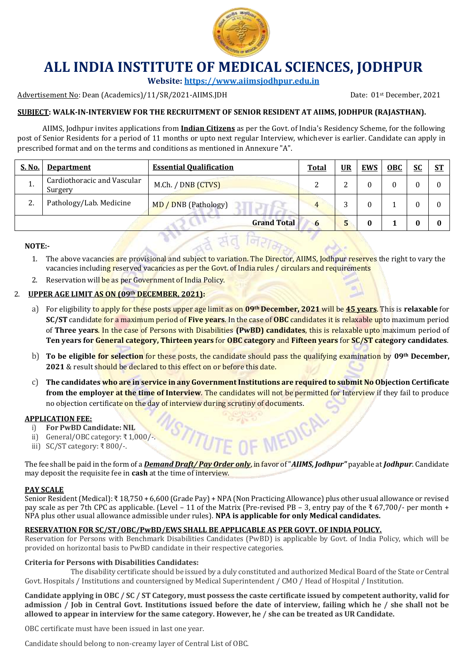

# **ALL INDIA INSTITUTE OF MEDICAL SCIENCES, JODHPUR**

**Website[: https://www.aiimsjodhpur.edu.in](https://www.aiimsjodhpur.edu.in/)**

Advertisement No: Dean (Academics)/11/SR/2021-AIIMS.JDH Date: 01st December, 2021

## **SUBJECT: WALK-IN-INTERVIEW FOR THE RECRUITMENT OF SENIOR RESIDENT AT AIIMS, JODHPUR (RAJASTHAN).**

AIIMS, Jodhpur invites applications from **Indian Citizens** as per the Govt. of India's Residency Scheme, for the following post of Senior Residents for a period of 11 months or upto next regular Interview, whichever is earlier. Candidate can apply in prescribed format and on the terms and conditions as mentioned in Annexure "A".

| S. No.  | <b>Department</b>                      | <b>Essential Qualification</b> | <b>Total</b> | <u>UR</u> | <b>EWS</b> | <b>OBC</b> | <b>SC</b> | <u>ST</u> |
|---------|----------------------------------------|--------------------------------|--------------|-----------|------------|------------|-----------|-----------|
| л.      | Cardiothoracic and Vascular<br>Surgery | M.Ch. / DNB (CTVS)             |              |           |            |            |           |           |
| າ<br>Δ. | Pathology/Lab. Medicine                | MD / DNB (Pathology)           | 4            |           |            |            |           |           |
|         |                                        | <b>Grand Total</b>             | 6            |           |            |            |           |           |

#### **NOTE:-**

- 1. The above vacancies are provisional and subject to variation. The Director, AIIMS, Jodhpur reserves the right to vary the vacancies including reserved vacancies as per the Govt. of India rules / circulars and requirements
- 2. Reservation will be as per Government of India Policy.

### 2. **UPPER AGE LIMIT AS ON (09th DECEMBER, 2021):**

- a) For eligibility to apply for these posts upper age limit as on **09th December, 2021** will be **45 years**. This is **relaxable** for **SC/ST** candidate for a maximum period of **Five years**. In the case of **OBC** candidates it is relaxable upto maximum period of **Three years**. In the case of Persons with Disabilities **(PwBD) candidates**, this is relaxable upto maximum period of **Ten years for General category, Thirteen years** for **OBC category** and **Fifteen years** for **SC/ST category candidates**.
- b) **To be eligible for selection** for these posts, the candidate should pass the qualifying examination by **09th December, 2021** & result should be declared to this effect on or before this date.
- c) **The candidates who are in service in any Government Institutions are required to submit No Objection Certificate from the employer at the time of Interview**. The candidates will not be permitted for Interview if they fail to produce no objection certificate on the day of interview during scrutiny of documents.

STITUTE OF MEDICAL

#### **APPLICATION FEE:**

- i) **For PwBD Candidate: NIL**
- ii) General/OBC category: ₹1,000/-.
- iii) SC/ST category: ₹ 800/-.

The fee shall be paid in the form of a *Demand Draft/ Pay Order only*, in favor of "*AIIMS, Jodhpur"* payable at *Jodhpur*. Candidate may deposit the requisite fee in **cash** at the time of interview.

#### **PAY SCALE**

Senior Resident (Medical): ₹ 18,750 + 6,600 (Grade Pay) + NPA (Non Practicing Allowance) plus other usual allowance or revised pay scale as per 7th CPC as applicable. (Level – 11 of the Matrix (Pre-revised PB – 3, entry pay of the ₹ 67,700/- per month + NPA plus other usual allowance admissible under rules). **NPA is applicable for only Medical candidates.**

#### **RESERVATION FOR SC/ST/OBC/PwBD/EWS SHALL BE APPLICABLE AS PER GOVT. OF INDIA POLICY.**

Reservation for Persons with Benchmark Disabilities Candidates (PwBD) is applicable by Govt. of India Policy, which will be provided on horizontal basis to PwBD candidate in their respective categories.

#### **Criteria for Persons with Disabilities Candidates:**

The disability certificate should be issued by a duly constituted and authorized Medical Board of the State or Central Govt. Hospitals / Institutions and countersigned by Medical Superintendent / CMO / Head of Hospital / Institution.

**Candidate applying in OBC / SC / ST Category, must possess the caste certificate issued by competent authority, valid for admission / Job in Central Govt. Institutions issued before the date of interview, failing which he / she shall not be allowed to appear in interview for the same category. However, he / she can be treated as UR Candidate.**

OBC certificate must have been issued in last one year.

Candidate should belong to non-creamy layer of Central List of OBC.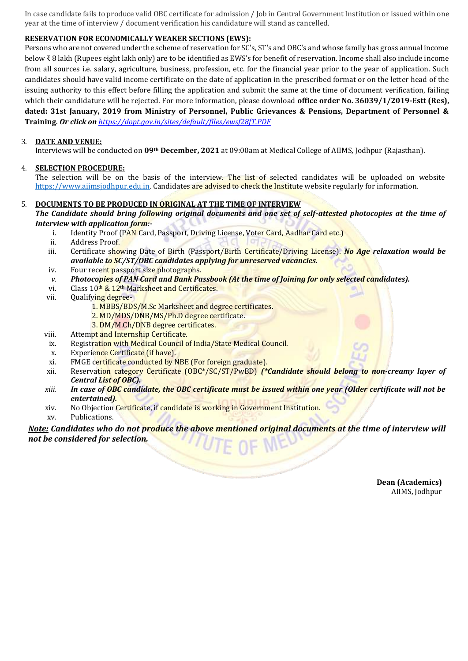In case candidate fails to produce valid OBC certificate for admission / Job in Central Government Institution or issued within one year at the time of interview / document verification his candidature will stand as cancelled.

#### **RESERVATION FOR ECONOMICALLY WEAKER SECTIONS (EWS):**

Persons who are not covered under the scheme of reservation for SC's, ST's and OBC's and whose family has gross annual income below ₹ 8 lakh (Rupees eight lakh only) are to be identified as EWS's for benefit of reservation. Income shall also include income from all sources i.e. salary, agriculture, business, profession, etc. for the financial year prior to the year of application. Such candidates should have valid income certificate on the date of application in the prescribed format or on the letter head of the issuing authority to this effect before filling the application and submit the same at the time of document verification, failing which their candidature will be rejected. For more information, please download **office order No. 36039/1/2019-Estt (Res), dated: 31st January, 2019 from Ministry of Personnel, Public Grievances & Pensions, Department of Personnel & Training.** *Or click on [https://dopt.gov.in/sites/default/files/ewsf28fT.PDF](https://www.google.co.in/url?sa=t&rct=j&q=&esrc=s&source=web&cd=1&ved=2ahUKEwiYlbP_45DiAhXBb30KHe5zBscQFjAAegQIBRAC&url=https%3A%2F%2Fdopt.gov.in%2Fsites%2Fdefault%2Ffiles%2Fewsf28fT.PDF&usg=AOvVaw3HFO-6P3VdqwZW4cZRJ-Rd)*

#### 3. **DATE AND VENUE:**

Interviews will be conducted on **09th December, 2021** at 09:00am at Medical College of AIIMS, Jodhpur (Rajasthan).

#### 4. **SELECTION PROCEDURE:**

The selection will be on the basis of the interview. The list of selected candidates will be uploaded on website [https://www.aiimsjodhpur.edu.in.](https://www.aiimsjodhpur.edu.in/) Candidates are advised to check the Institute website regularly for information.

#### 5. **DOCUMENTS TO BE PRODUCED IN ORIGINAL AT THE TIME OF INTERVIEW**

*The Candidate should bring following original documents and one set of self-attested photocopies at the time of Interview with application form:-*

- i. Identity Proof (PAN Card, Passport, Driving License, Voter Card, Aadhar Card etc.)
- ii. Address Proof.
- iii. Certificate showing Date of Birth (Passport/Birth Certificate/Driving License). *No Age relaxation would be available to SC/ST/OBC candidates applying for unreserved vacancies.*
- iv. Four recent passport size photographs.
- *v. Photocopies of PAN Card and Bank Passbook (At the time of Joining for only selected candidates).*
- vi. Class 10<sup>th</sup> & 12<sup>th</sup> Marksheet and Certificates.
- vii. Qualifying degree-
	- 1. MBBS/BDS/M.Sc Marksheet and degree certificates.
	- 2. MD/MDS/DNB/MS/Ph.D degree certificate.
	- 3. DM/M.Ch/DNB degree certificates.
- viii. Attempt and Internship Certificate.
- ix. Registration with Medical Council of India/State Medical Council.
- x. Experience Certificate (if have).
- xi. FMGE certificate conducted by NBE (For foreign graduate).
- xii. Reservation category Certificate (OBC\*/SC/ST/PwBD) *(\*Candidate should belong to non-creamy layer of Central List of OBC).*
- *xiii. In case of OBC candidate, the OBC certificate must be issued within one year (Older certificate will not be entertained).*
- xiv. No Objection Certificate, if candidate is working in Government Institution.
- xv. Publications.

*Note: Candidates who do not produce the above mentioned original documents at the time of interview will not be considered for selection.*

> **Dean (Academics)** AIIMS, Jodhpur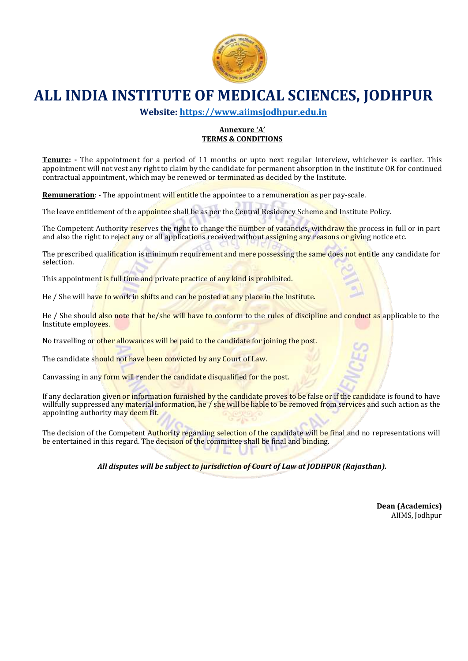

# **ALL INDIA INSTITUTE OF MEDICAL SCIENCES, JODHPUR**

**Website[: https://www.aiimsjodhpur.edu.in](https://www.aiimsjodhpur.edu.in/)**

#### **Annexure 'A' TERMS & CONDITIONS**

**Tenure: -** The appointment for a period of 11 months or upto next regular Interview, whichever is earlier. This appointment will not vest any right to claim by the candidate for permanent absorption in the institute OR for continued contractual appointment, which may be renewed or terminated as decided by the Institute.

**Remuneration**: - The appointment will entitle the appointee to a remuneration as per pay-scale.

The leave entitlement of the appointee shall be as per the Central Residency Scheme and Institute Policy.

The Competent Authority reserves the right to change the number of vacancies, withdraw the process in full or in part and also the right to reject any or all applications received without assigning any reasons or giving notice etc.

The prescribed qualification is minimum requirement and mere possessing the same does not entitle any candidate for selection.

This appointment is full time and private practice of any kind is prohibited.

He / She will have to work in shifts and can be posted at any place in the Institute.

He / She should also note that he/she will have to conform to the rules of discipline and conduct as applicable to the Institute employees.

No travelling or other allowances will be paid to the candidate for joining the post.

The candidate should not have been convicted by any Court of Law.

Canvassing in any form will render the candidate disqualified for the post.

If any declaration given or information furnished by the candidate proves to be false or if the candidate is found to have willfully suppressed any material information, he / she will be liable to be removed from services and such action as the appointing authority may deem fit.

The decision of the Competent Authority regarding selection of the candidate will be final and no representations will be entertained in this regard. The decision of the committee shall be final and binding.

*All disputes will be subject to jurisdiction of Court of Law at JODHPUR (Rajasthan).*

**Dean (Academics)** AIIMS, Jodhpur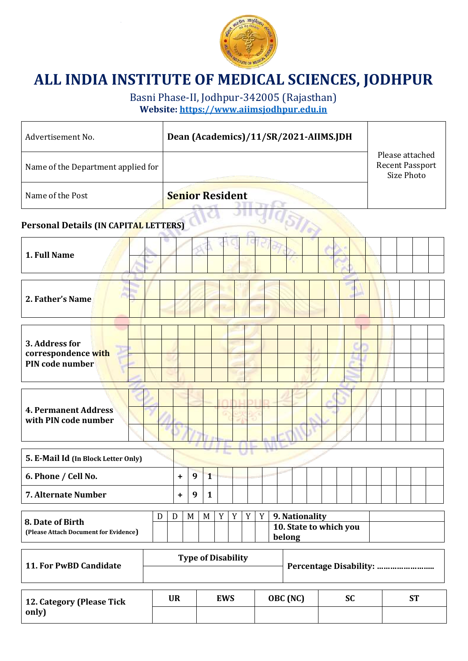

# **ALL INDIA INSTITUTE OF MEDICAL SCIENCES, JODHPUR**

Basni Phase-II, Jodhpur-342005 (Rajasthan) **Website[: https://www.aiimsjodhpur.edu.in](https://www.aiimsjodhpur.edu.in/)**

| Advertisement No.                                              |  |                           | Dean (Academics)/11/SR/2021-AIIMS.JDH |              |   |   |   |   |                                                    |  |                                                                |  |  |  |  |  |  |  |  |
|----------------------------------------------------------------|--|---------------------------|---------------------------------------|--------------|---|---|---|---|----------------------------------------------------|--|----------------------------------------------------------------|--|--|--|--|--|--|--|--|
| Name of the Department applied for                             |  |                           |                                       |              |   |   |   |   |                                                    |  | Please attached<br><b>Recent Passport</b><br><b>Size Photo</b> |  |  |  |  |  |  |  |  |
| Name of the Post                                               |  | <b>Senior Resident</b>    |                                       |              |   |   |   |   |                                                    |  |                                                                |  |  |  |  |  |  |  |  |
| Personal Details (IN CAPITAL LETTERS)                          |  |                           |                                       |              |   |   |   |   |                                                    |  |                                                                |  |  |  |  |  |  |  |  |
| 1. Full Name                                                   |  |                           |                                       |              |   |   |   |   |                                                    |  |                                                                |  |  |  |  |  |  |  |  |
| 2. Father's Name                                               |  |                           |                                       |              |   |   |   |   |                                                    |  |                                                                |  |  |  |  |  |  |  |  |
| 3. Address for<br>correspondence with<br>PIN code number       |  |                           |                                       |              |   |   |   |   |                                                    |  |                                                                |  |  |  |  |  |  |  |  |
| <b>4. Permanent Address</b><br>with PIN code number            |  |                           |                                       |              |   |   |   |   |                                                    |  |                                                                |  |  |  |  |  |  |  |  |
| 5. E-Mail Id (In Block Letter Only)                            |  |                           |                                       |              |   |   |   |   |                                                    |  |                                                                |  |  |  |  |  |  |  |  |
| 6. Phone / Cell No.                                            |  |                           | 9                                     | 1            |   |   |   |   |                                                    |  |                                                                |  |  |  |  |  |  |  |  |
| 7. Alternate Number                                            |  | $\ddot{}$                 | 9                                     | $\mathbf{1}$ |   |   |   |   |                                                    |  |                                                                |  |  |  |  |  |  |  |  |
| D<br>8. Date of Birth<br>(Please Attach Document for Evidence) |  |                           | M                                     | M            | Y | Y | Y | Y | 9. Nationality<br>10. State to which you<br>belong |  |                                                                |  |  |  |  |  |  |  |  |
| <b>11. For PwBD Candidate</b>                                  |  | <b>Type of Disability</b> |                                       |              |   |   |   |   |                                                    |  |                                                                |  |  |  |  |  |  |  |  |
|                                                                |  |                           |                                       |              |   |   |   |   |                                                    |  |                                                                |  |  |  |  |  |  |  |  |

| 12. Category (Please Tick | UR | <b>EWS</b> | OBC (NC) | υu | CIT. |
|---------------------------|----|------------|----------|----|------|
| only)                     |    |            |          |    |      |